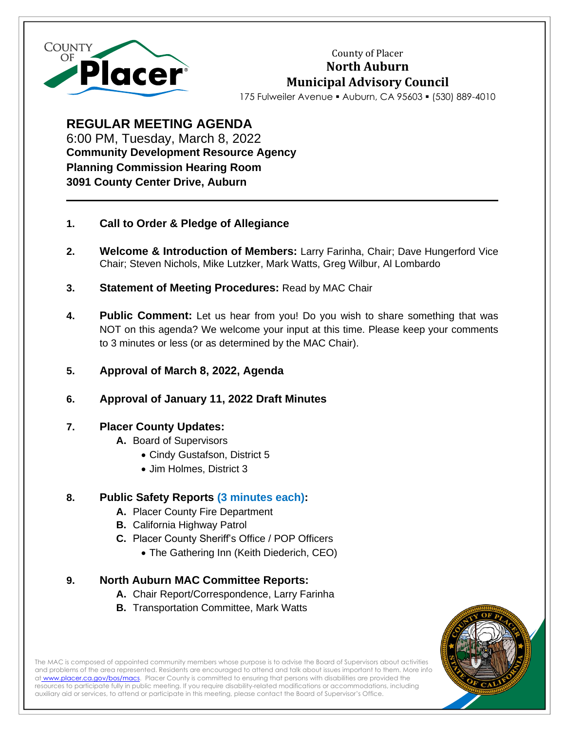

County of Placer **North Auburn Municipal Advisory Council**

175 Fulweiler Avenue ▪ Auburn, CA 95603 ▪ (530) 889-4010

**REGULAR MEETING AGENDA** 6:00 PM, Tuesday, March 8, 2022 **Community Development Resource Agency Planning Commission Hearing Room 3091 County Center Drive, Auburn**

- **1. Call to Order & Pledge of Allegiance**
- **2. Welcome & Introduction of Members:** Larry Farinha, Chair; Dave Hungerford Vice Chair; Steven Nichols, Mike Lutzker, Mark Watts, Greg Wilbur, Al Lombardo
- **3. Statement of Meeting Procedures:** Read by MAC Chair
- **4. Public Comment:** Let us hear from you! Do you wish to share something that was NOT on this agenda? We welcome your input at this time. Please keep your comments to 3 minutes or less (or as determined by the MAC Chair).
- **5. Approval of March 8, 2022, Agenda**
- **6. Approval of January 11, 2022 Draft Minutes**

## **7. Placer County Updates:**

- **A.** Board of Supervisors
	- Cindy Gustafson, District 5
	- Jim Holmes, District 3

## **8. Public Safety Reports (3 minutes each):**

- **A.** Placer County Fire Department
- **B.** California Highway Patrol
- **C.** Placer County Sheriff's Office / POP Officers
	- The Gathering Inn (Keith Diederich, CEO)

## **9. North Auburn MAC Committee Reports:**

- **A.** Chair Report/Correspondence, Larry Farinha
- **B.** Transportation Committee, Mark Watts



The MAC is composed of appointed community members whose purpose is to advise the Board of Supervisors about activities and problems of the area represented. Residents are encouraged to attend and talk about issues important to them. More info at [www.placer.ca.gov/bos/macs.](https://www.placer.ca.gov/2491/Municipal-Advisory-Councils-MACs) Placer County is committed to ensuring that persons with disabilities are provided the resources to participate fully in public meeting. If you require disability-related modifications or accommodations, including auxiliary aid or services, to attend or participate in this meeting, please contact the Board of Supervisor's Office.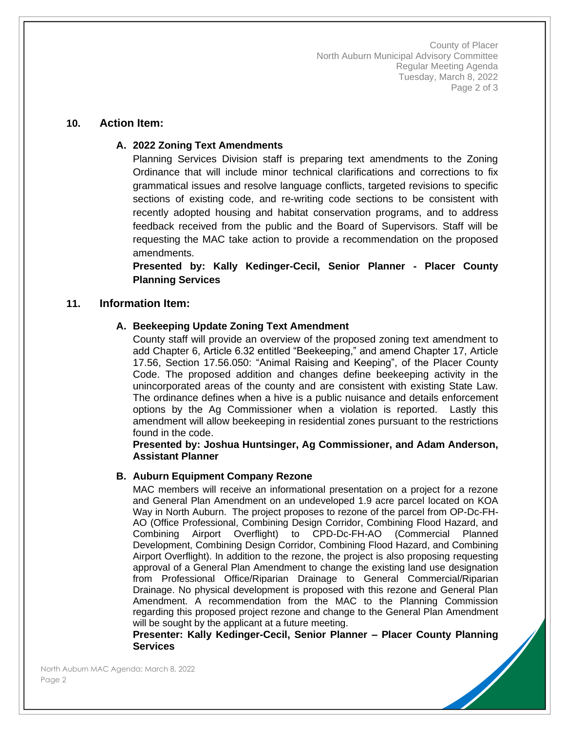County of Placer North Auburn Municipal Advisory Committee Regular Meeting Agenda Tuesday, March 8, 2022 Page 2 of 3

### **10. Action Item:**

### **A. 2022 Zoning Text Amendments**

Planning Services Division staff is preparing text amendments to the Zoning Ordinance that will include minor technical clarifications and corrections to fix grammatical issues and resolve language conflicts, targeted revisions to specific sections of existing code, and re-writing code sections to be consistent with recently adopted housing and habitat conservation programs, and to address feedback received from the public and the Board of Supervisors. Staff will be requesting the MAC take action to provide a recommendation on the proposed amendments.

**Presented by: Kally Kedinger-Cecil, Senior Planner - Placer County Planning Services**

### **11. Information Item:**

### **A. Beekeeping Update Zoning Text Amendment**

County staff will provide an overview of the proposed zoning text amendment to add Chapter 6, Article 6.32 entitled "Beekeeping," and amend Chapter 17, Article 17.56, Section 17.56.050: "Animal Raising and Keeping", of the Placer County Code. The proposed addition and changes define beekeeping activity in the unincorporated areas of the county and are consistent with existing State Law. The ordinance defines when a hive is a public nuisance and details enforcement options by the Ag Commissioner when a violation is reported. Lastly this amendment will allow beekeeping in residential zones pursuant to the restrictions found in the code.

**Presented by: Joshua Huntsinger, Ag Commissioner, and Adam Anderson, Assistant Planner**

#### **B. Auburn Equipment Company Rezone**

MAC members will receive an informational presentation on a project for a rezone and General Plan Amendment on an undeveloped 1.9 acre parcel located on KOA Way in North Auburn. The project proposes to rezone of the parcel from OP-Dc-FH-AO (Office Professional, Combining Design Corridor, Combining Flood Hazard, and Combining Airport Overflight) to CPD-Dc-FH-AO (Commercial Planned Development, Combining Design Corridor, Combining Flood Hazard, and Combining Airport Overflight). In addition to the rezone, the project is also proposing requesting approval of a General Plan Amendment to change the existing land use designation from Professional Office/Riparian Drainage to General Commercial/Riparian Drainage. No physical development is proposed with this rezone and General Plan Amendment. A recommendation from the MAC to the Planning Commission regarding this proposed project rezone and change to the General Plan Amendment will be sought by the applicant at a future meeting.

**Presenter: Kally Kedinger-Cecil, Senior Planner – Placer County Planning Services**